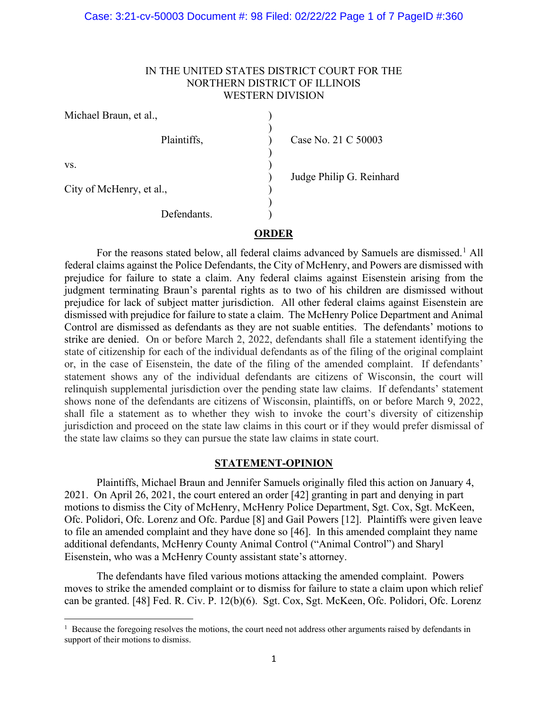## Case: 3:21-cv-50003 Document #: 98 Filed: 02/22/22 Page 1 of 7 PageID #:360

# IN THE UNITED STATES DISTRICT COURT FOR THE NORTHERN DISTRICT OF ILLINOIS WESTERN DIVISION

| Michael Braun, et al.,   |                          |
|--------------------------|--------------------------|
| Plaintiffs,              | Case No. 21 C 50003      |
|                          |                          |
| VS.                      | Judge Philip G. Reinhard |
| City of McHenry, et al., |                          |
| Defendants.              |                          |
|                          |                          |

# **ORDER**

For the reasons stated below, all federal claims advanced by Samuels are dismissed.<sup>[1](#page-0-0)</sup> All federal claims against the Police Defendants, the City of McHenry, and Powers are dismissed with prejudice for failure to state a claim. Any federal claims against Eisenstein arising from the judgment terminating Braun's parental rights as to two of his children are dismissed without prejudice for lack of subject matter jurisdiction. All other federal claims against Eisenstein are dismissed with prejudice for failure to state a claim. The McHenry Police Department and Animal Control are dismissed as defendants as they are not suable entities. The defendants' motions to strike are denied. On or before March 2, 2022, defendants shall file a statement identifying the state of citizenship for each of the individual defendants as of the filing of the original complaint or, in the case of Eisenstein, the date of the filing of the amended complaint. If defendants' statement shows any of the individual defendants are citizens of Wisconsin, the court will relinquish supplemental jurisdiction over the pending state law claims. If defendants' statement shows none of the defendants are citizens of Wisconsin, plaintiffs, on or before March 9, 2022, shall file a statement as to whether they wish to invoke the court's diversity of citizenship jurisdiction and proceed on the state law claims in this court or if they would prefer dismissal of the state law claims so they can pursue the state law claims in state court.

## **STATEMENT-OPINION**

Plaintiffs, Michael Braun and Jennifer Samuels originally filed this action on January 4, 2021. On April 26, 2021, the court entered an order [42] granting in part and denying in part motions to dismiss the City of McHenry, McHenry Police Department, Sgt. Cox, Sgt. McKeen, Ofc. Polidori, Ofc. Lorenz and Ofc. Pardue [8] and Gail Powers [12]. Plaintiffs were given leave to file an amended complaint and they have done so [46]. In this amended complaint they name additional defendants, McHenry County Animal Control ("Animal Control") and Sharyl Eisenstein, who was a McHenry County assistant state's attorney.

The defendants have filed various motions attacking the amended complaint. Powers moves to strike the amended complaint or to dismiss for failure to state a claim upon which relief can be granted. [48] Fed. R. Civ. P. 12(b)(6). Sgt. Cox, Sgt. McKeen, Ofc. Polidori, Ofc. Lorenz

<span id="page-0-0"></span><sup>&</sup>lt;sup>1</sup> Because the foregoing resolves the motions, the court need not address other arguments raised by defendants in support of their motions to dismiss.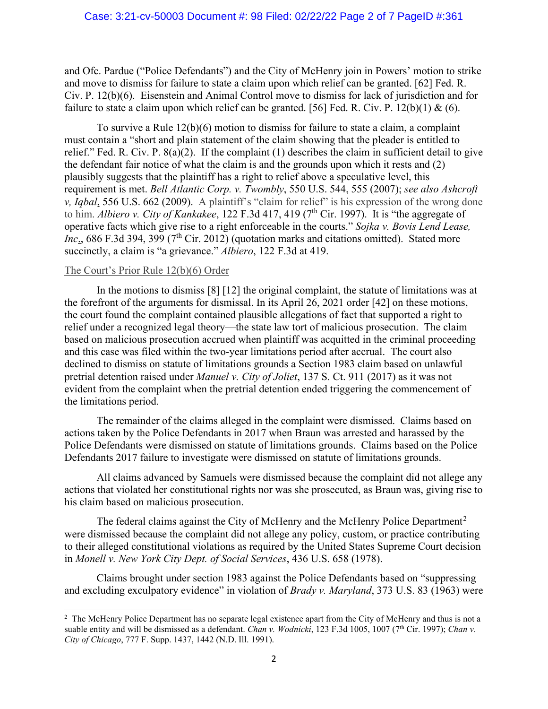and Ofc. Pardue ("Police Defendants") and the City of McHenry join in Powers' motion to strike and move to dismiss for failure to state a claim upon which relief can be granted. [62] Fed. R. Civ. P. 12(b)(6). Eisenstein and Animal Control move to dismiss for lack of jurisdiction and for failure to state a claim upon which relief can be granted. [56] Fed. R. Civ. P. 12(b)(1) & (6).

To survive a Rule 12(b)(6) motion to dismiss for failure to state a claim, a complaint must contain a "short and plain statement of the claim showing that the pleader is entitled to relief." Fed. R. Civ. P. 8(a)(2). If the complaint (1) describes the claim in sufficient detail to give the defendant fair notice of what the claim is and the grounds upon which it rests and (2) plausibly suggests that the plaintiff has a right to relief above a speculative level, this requirement is met. *Bell Atlantic Corp. v. Twombly*, 550 U.S. 544, 555 (2007); *see also Ashcroft v, Iqbal*, 556 U.S. 662 (2009). A plaintiff's "claim for relief" is his expression of the wrong done to him. *Albiero v. City of Kankakee*, 122 F.3d 417, 419 (7<sup>th</sup> Cir. 1997). It is "the aggregate of operative facts which give rise to a right enforceable in the courts." *Sojka v. Bovis Lend Lease,*  Inc., 686 F.3d 394, 399 (7<sup>th</sup> Cir. 2012) (quotation marks and citations omitted). Stated more succinctly, a claim is "a grievance." *Albiero*, 122 F.3d at 419.

# The Court's Prior Rule 12(b)(6) Order

In the motions to dismiss [8] [12] the original complaint, the statute of limitations was at the forefront of the arguments for dismissal. In its April 26, 2021 order [42] on these motions, the court found the complaint contained plausible allegations of fact that supported a right to relief under a recognized legal theory—the state law tort of malicious prosecution. The claim based on malicious prosecution accrued when plaintiff was acquitted in the criminal proceeding and this case was filed within the two-year limitations period after accrual. The court also declined to dismiss on statute of limitations grounds a Section 1983 claim based on unlawful pretrial detention raised under *Manuel v. City of Joliet*, 137 S. Ct. 911 (2017) as it was not evident from the complaint when the pretrial detention ended triggering the commencement of the limitations period.

The remainder of the claims alleged in the complaint were dismissed. Claims based on actions taken by the Police Defendants in 2017 when Braun was arrested and harassed by the Police Defendants were dismissed on statute of limitations grounds. Claims based on the Police Defendants 2017 failure to investigate were dismissed on statute of limitations grounds.

All claims advanced by Samuels were dismissed because the complaint did not allege any actions that violated her constitutional rights nor was she prosecuted, as Braun was, giving rise to his claim based on malicious prosecution.

The federal claims against the City of McHenry and the McHenry Police Department<sup>[2](#page-1-0)</sup> were dismissed because the complaint did not allege any policy, custom, or practice contributing to their alleged constitutional violations as required by the United States Supreme Court decision in *Monell v. New York City Dept. of Social Services*, 436 U.S. 658 (1978).

Claims brought under section 1983 against the Police Defendants based on "suppressing and excluding exculpatory evidence" in violation of *Brady v. Maryland*, 373 U.S. 83 (1963) were

<span id="page-1-0"></span><sup>&</sup>lt;sup>2</sup> The McHenry Police Department has no separate legal existence apart from the City of McHenry and thus is not a suable entity and will be dismissed as a defendant. *Chan v. Wodnicki*, 123 F.3d 1005, 1007 (7<sup>th</sup> Cir. 1997); *Chan v. City of Chicago*, 777 F. Supp. 1437, 1442 (N.D. Ill. 1991).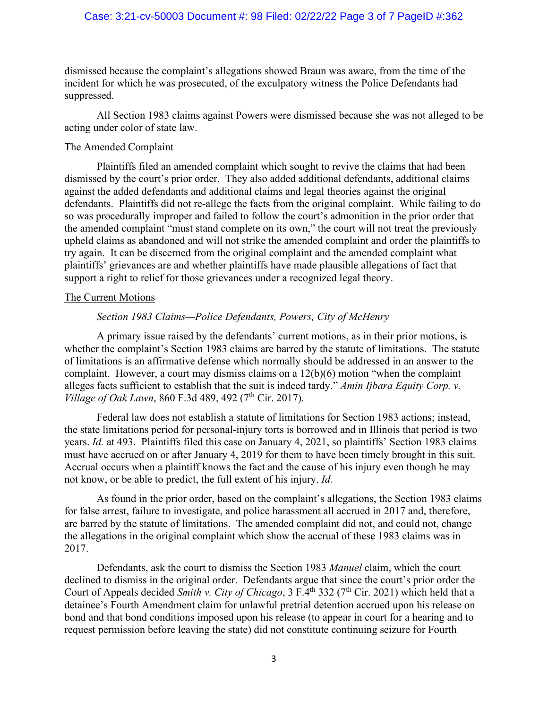## Case: 3:21-cv-50003 Document #: 98 Filed: 02/22/22 Page 3 of 7 PageID #:362

dismissed because the complaint's allegations showed Braun was aware, from the time of the incident for which he was prosecuted, of the exculpatory witness the Police Defendants had suppressed.

All Section 1983 claims against Powers were dismissed because she was not alleged to be acting under color of state law.

## The Amended Complaint

Plaintiffs filed an amended complaint which sought to revive the claims that had been dismissed by the court's prior order. They also added additional defendants, additional claims against the added defendants and additional claims and legal theories against the original defendants. Plaintiffs did not re-allege the facts from the original complaint. While failing to do so was procedurally improper and failed to follow the court's admonition in the prior order that the amended complaint "must stand complete on its own," the court will not treat the previously upheld claims as abandoned and will not strike the amended complaint and order the plaintiffs to try again. It can be discerned from the original complaint and the amended complaint what plaintiffs' grievances are and whether plaintiffs have made plausible allegations of fact that support a right to relief for those grievances under a recognized legal theory.

#### The Current Motions

#### *Section 1983 Claims—Police Defendants, Powers, City of McHenry*

A primary issue raised by the defendants' current motions, as in their prior motions, is whether the complaint's Section 1983 claims are barred by the statute of limitations. The statute of limitations is an affirmative defense which normally should be addressed in an answer to the complaint. However, a court may dismiss claims on a 12(b)(6) motion "when the complaint alleges facts sufficient to establish that the suit is indeed tardy." *Amin Ijbara Equity Corp. v. Village of Oak Lawn*, 860 F.3d 489, 492 (7<sup>th</sup> Cir. 2017).

Federal law does not establish a statute of limitations for Section 1983 actions; instead, the state limitations period for personal-injury torts is borrowed and in Illinois that period is two years. *Id.* at 493. Plaintiffs filed this case on January 4, 2021, so plaintiffs' Section 1983 claims must have accrued on or after January 4, 2019 for them to have been timely brought in this suit. Accrual occurs when a plaintiff knows the fact and the cause of his injury even though he may not know, or be able to predict, the full extent of his injury. *Id.*

As found in the prior order, based on the complaint's allegations, the Section 1983 claims for false arrest, failure to investigate, and police harassment all accrued in 2017 and, therefore, are barred by the statute of limitations. The amended complaint did not, and could not, change the allegations in the original complaint which show the accrual of these 1983 claims was in 2017.

Defendants, ask the court to dismiss the Section 1983 *Manuel* claim, which the court declined to dismiss in the original order. Defendants argue that since the court's prior order the Court of Appeals decided *Smith v. City of Chicago*, 3 F.4<sup>th</sup> 332 (7<sup>th</sup> Cir. 2021) which held that a detainee's Fourth Amendment claim for unlawful pretrial detention accrued upon his release on bond and that bond conditions imposed upon his release (to appear in court for a hearing and to request permission before leaving the state) did not constitute continuing seizure for Fourth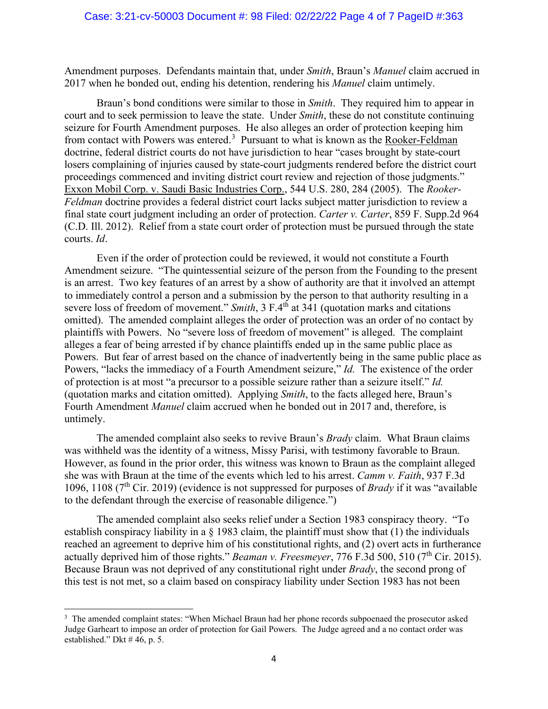Amendment purposes. Defendants maintain that, under *Smith*, Braun's *Manuel* claim accrued in 2017 when he bonded out, ending his detention, rendering his *Manuel* claim untimely.

Braun's bond conditions were similar to those in *Smith*. They required him to appear in court and to seek permission to leave the state. Under *Smith*, these do not constitute continuing seizure for Fourth Amendment purposes. He also alleges an order of protection keeping him from contact with Powers was entered.<sup>[3](#page-3-0)</sup> Pursuant to what is known as the Rooker-Feldman doctrine, federal district courts do not have jurisdiction to hear "cases brought by state-court losers complaining of injuries caused by state-court judgments rendered before the district court proceedings commenced and inviting district court review and rejection of those judgments." Exxon Mobil Corp. v. Saudi Basic Industries Corp., 544 U.S. 280, 284 (2005). The *Rooker-Feldman* doctrine provides a federal district court lacks subject matter jurisdiction to review a final state court judgment including an order of protection. *Carter v. Carter*, 859 F. Supp.2d 964 (C.D. Ill. 2012). Relief from a state court order of protection must be pursued through the state courts. *Id*.

Even if the order of protection could be reviewed, it would not constitute a Fourth Amendment seizure. "The quintessential seizure of the person from the Founding to the present is an arrest. Two key features of an arrest by a show of authority are that it involved an attempt to immediately control a person and a submission by the person to that authority resulting in a severe loss of freedom of movement." *Smith*, 3 F.4<sup>th</sup> at 341 (quotation marks and citations omitted). The amended complaint alleges the order of protection was an order of no contact by plaintiffs with Powers. No "severe loss of freedom of movement" is alleged. The complaint alleges a fear of being arrested if by chance plaintiffs ended up in the same public place as Powers. But fear of arrest based on the chance of inadvertently being in the same public place as Powers, "lacks the immediacy of a Fourth Amendment seizure," *Id.* The existence of the order of protection is at most "a precursor to a possible seizure rather than a seizure itself." *Id.*  (quotation marks and citation omitted). Applying *Smith*, to the facts alleged here, Braun's Fourth Amendment *Manuel* claim accrued when he bonded out in 2017 and, therefore, is untimely.

The amended complaint also seeks to revive Braun's *Brady* claim. What Braun claims was withheld was the identity of a witness, Missy Parisi, with testimony favorable to Braun. However, as found in the prior order, this witness was known to Braun as the complaint alleged she was with Braun at the time of the events which led to his arrest. *Camm v. Faith*, 937 F.3d 1096, 1108 (7th Cir. 2019) (evidence is not suppressed for purposes of *Brady* if it was "available to the defendant through the exercise of reasonable diligence.")

The amended complaint also seeks relief under a Section 1983 conspiracy theory. "To establish conspiracy liability in a  $\S$  1983 claim, the plaintiff must show that (1) the individuals reached an agreement to deprive him of his constitutional rights, and (2) overt acts in furtherance actually deprived him of those rights." *Beaman v. Freesmeyer*, 776 F.3d 500, 510 (7<sup>th</sup> Cir. 2015). Because Braun was not deprived of any constitutional right under *Brady*, the second prong of this test is not met, so a claim based on conspiracy liability under Section 1983 has not been

<span id="page-3-0"></span><sup>&</sup>lt;sup>3</sup> The amended complaint states: "When Michael Braun had her phone records subpoenaed the prosecutor asked Judge Garheart to impose an order of protection for Gail Powers. The Judge agreed and a no contact order was established." Dkt # 46, p. 5.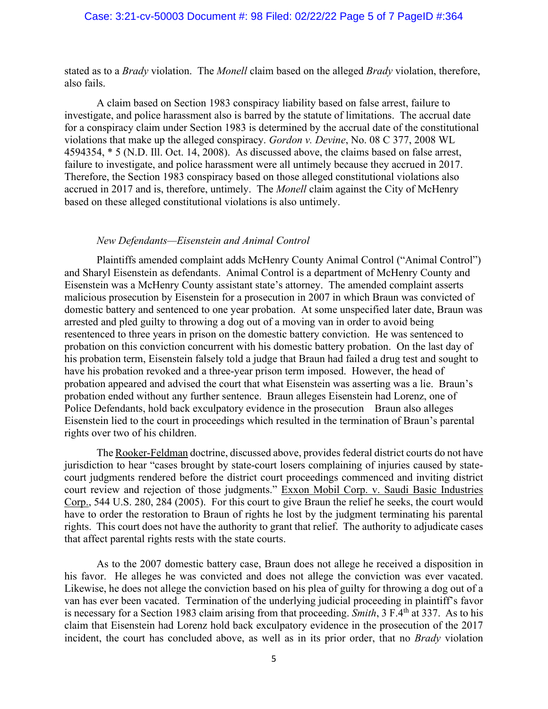## Case: 3:21-cv-50003 Document #: 98 Filed: 02/22/22 Page 5 of 7 PageID #:364

stated as to a *Brady* violation. The *Monell* claim based on the alleged *Brady* violation, therefore, also fails.

A claim based on Section 1983 conspiracy liability based on false arrest, failure to investigate, and police harassment also is barred by the statute of limitations. The accrual date for a conspiracy claim under Section 1983 is determined by the accrual date of the constitutional violations that make up the alleged conspiracy. *Gordon v. Devine*, No. 08 C 377, 2008 WL 4594354, \* 5 (N.D. Ill. Oct. 14, 2008). As discussed above, the claims based on false arrest, failure to investigate, and police harassment were all untimely because they accrued in 2017. Therefore, the Section 1983 conspiracy based on those alleged constitutional violations also accrued in 2017 and is, therefore, untimely. The *Monell* claim against the City of McHenry based on these alleged constitutional violations is also untimely.

#### *New Defendants—Eisenstein and Animal Control*

Plaintiffs amended complaint adds McHenry County Animal Control ("Animal Control") and Sharyl Eisenstein as defendants. Animal Control is a department of McHenry County and Eisenstein was a McHenry County assistant state's attorney. The amended complaint asserts malicious prosecution by Eisenstein for a prosecution in 2007 in which Braun was convicted of domestic battery and sentenced to one year probation. At some unspecified later date, Braun was arrested and pled guilty to throwing a dog out of a moving van in order to avoid being resentenced to three years in prison on the domestic battery conviction. He was sentenced to probation on this conviction concurrent with his domestic battery probation. On the last day of his probation term, Eisenstein falsely told a judge that Braun had failed a drug test and sought to have his probation revoked and a three-year prison term imposed. However, the head of probation appeared and advised the court that what Eisenstein was asserting was a lie. Braun's probation ended without any further sentence. Braun alleges Eisenstein had Lorenz, one of Police Defendants, hold back exculpatory evidence in the prosecution Braun also alleges Eisenstein lied to the court in proceedings which resulted in the termination of Braun's parental rights over two of his children.

The Rooker-Feldman doctrine, discussed above, provides federal district courts do not have jurisdiction to hear "cases brought by state-court losers complaining of injuries caused by statecourt judgments rendered before the district court proceedings commenced and inviting district court review and rejection of those judgments." Exxon Mobil Corp. v. Saudi Basic Industries Corp., 544 U.S. 280, 284 (2005). For this court to give Braun the relief he seeks, the court would have to order the restoration to Braun of rights he lost by the judgment terminating his parental rights. This court does not have the authority to grant that relief. The authority to adjudicate cases that affect parental rights rests with the state courts.

As to the 2007 domestic battery case, Braun does not allege he received a disposition in his favor. He alleges he was convicted and does not allege the conviction was ever vacated. Likewise, he does not allege the conviction based on his plea of guilty for throwing a dog out of a van has ever been vacated. Termination of the underlying judicial proceeding in plaintiff's favor is necessary for a Section 1983 claim arising from that proceeding. *Smith*, 3 F.4th at 337. As to his claim that Eisenstein had Lorenz hold back exculpatory evidence in the prosecution of the 2017 incident, the court has concluded above, as well as in its prior order, that no *Brady* violation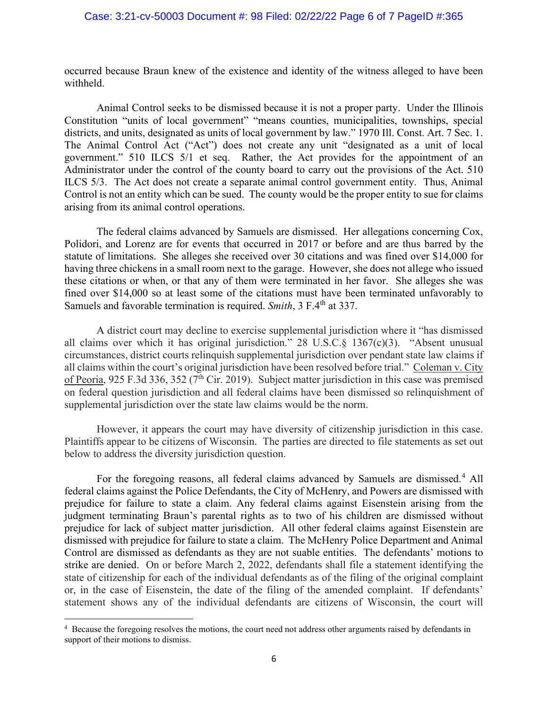occurred because Braun knew of the existence and identity of the witness alleged to have been withheld.

Animal Control seeks to be dismissed because it is not a proper party. Under the Illinois Constitution "units of local government" "means counties, municipalities, townships, special districts, and units, designated as units of local government by law." 1970 Ill. Const. Art. 7 Sec. 1. The Animal Control Act ("Act") does not create any unit "designated as a unit of local government." 510 ILCS 5/1 et seq. Rather, the Act provides for the appointment of an Administrator under the control of the county board to carry out the provisions of the Act. 510 ILCS 5/3. The Act does not create a separate animal control government entity. Thus, Animal Control is not an entity which can be sued. The county would be the proper entity to sue for claims arising from its animal control operations.

The federal claims advanced by Samuels are dismissed. Her allegations concerning Cox, Polidori, and Lorenz are for events that occurred in 2017 or before and are thus barred by the statute of limitations. She alleges she received over 30 citations and was fined over \$14,000 for having three chickens in a small room next to the garage. However, she does not allege who issued these citations or when, or that any of them were terminated in her favor. She alleges she was fined over \$14,000 so at least some of the citations must have been terminated unfavorably to Samuels and favorable termination is required. *Smith*, 3 F.4<sup>th</sup> at 337.

A district court may decline to exercise supplemental jurisdiction where it "has dismissed all claims over which it has original jurisdiction." 28 U.S.C.  $\S$  1367(c)(3). "Absent unusual circumstances, district courts relinquish supplemental jurisdiction over pendant state law claims if all claims within the court's original jurisdiction have been resolved before trial." Coleman v. City of Peoria, 925 F.3d 336, 352 ( $7<sup>th</sup>$  Cir. 2019). Subject matter jurisdiction in this case was premised on federal question jurisdiction and all federal claims have been dismissed so relinquishment of supplemental jurisdiction over the state law claims would be the norm.

However, it appears the court may have diversity of citizenship jurisdiction in this case. Plaintiffs appear to be citizens of Wisconsin. The parties are directed to file statements as set out below to address the diversity jurisdiction question.

For the foregoing reasons, all federal claims advanced by Samuels are dismissed.<sup>[4](#page-5-0)</sup> All federal claims against the Police Defendants, the City of McHenry, and Powers are dismissed with prejudice for failure to state a claim. Any federal claims against Eisenstein arising from the judgment terminating Braun's parental rights as to two of his children are dismissed without prejudice for lack of subject matter jurisdiction. All other federal claims against Eisenstein are dismissed with prejudice for failure to state a claim. The McHenry Police Department and Animal Control are dismissed as defendants as they are not suable entities. The defendants' motions to strike are denied. On or before March 2, 2022, defendants shall file a statement identifying the state of citizenship for each of the individual defendants as of the filing of the original complaint or, in the case of Eisenstein, the date of the filing of the amended complaint. If defendants' statement shows any of the individual defendants are citizens of Wisconsin, the court will

<span id="page-5-0"></span><sup>&</sup>lt;sup>4</sup> Because the foregoing resolves the motions, the court need not address other arguments raised by defendants in support of their motions to dismiss.